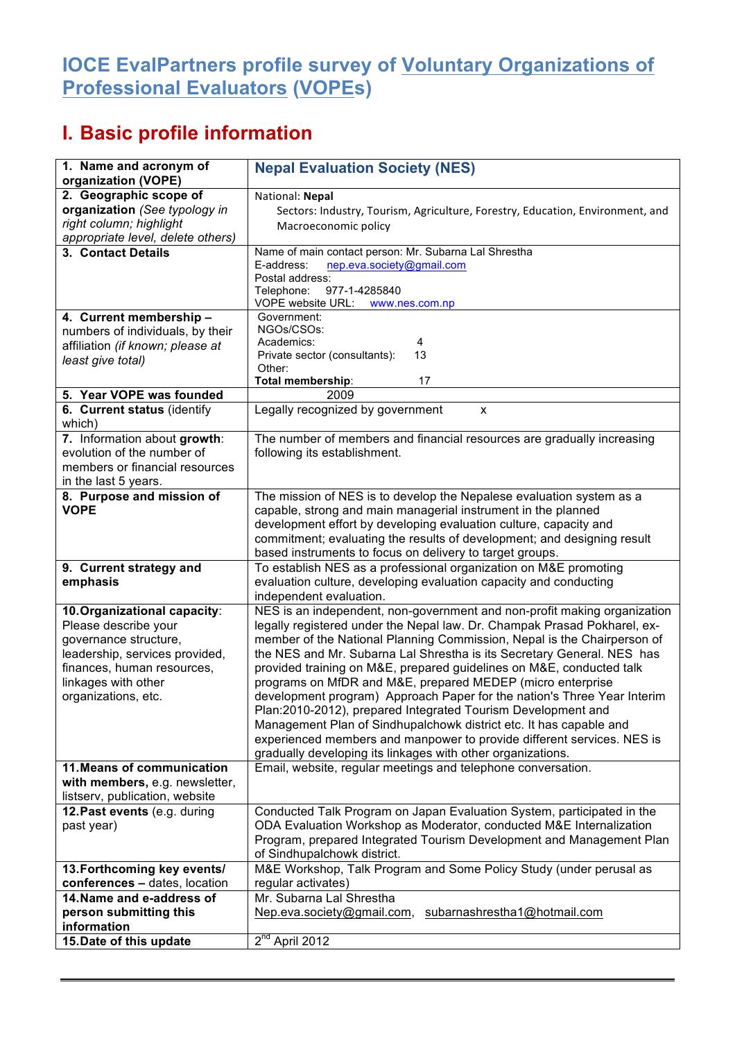## **IOCE EvalPartners profile survey of Voluntary Organizations of Professional Evaluators (VOPEs)**

## **I. Basic profile information**

| 1. Name and acronym of                                  | <b>Nepal Evaluation Society (NES)</b>                                                                                                       |
|---------------------------------------------------------|---------------------------------------------------------------------------------------------------------------------------------------------|
| organization (VOPE)                                     |                                                                                                                                             |
| 2. Geographic scope of<br>organization (See typology in | National: Nepal                                                                                                                             |
| right column; highlight                                 | Sectors: Industry, Tourism, Agriculture, Forestry, Education, Environment, and<br>Macroeconomic policy                                      |
| appropriate level, delete others)                       |                                                                                                                                             |
| 3. Contact Details                                      | Name of main contact person: Mr. Subarna Lal Shrestha                                                                                       |
|                                                         | E-address:<br>nep.eva.society@gmail.com                                                                                                     |
|                                                         | Postal address:                                                                                                                             |
|                                                         | Telephone:<br>977-1-4285840                                                                                                                 |
|                                                         | VOPE website URL:<br>www.nes.com.np                                                                                                         |
| 4. Current membership -                                 | Government:<br>NGOs/CSOs:                                                                                                                   |
| numbers of individuals, by their                        | Academics:<br>4                                                                                                                             |
| affiliation (if known; please at                        | 13<br>Private sector (consultants):                                                                                                         |
| least give total)                                       | Other:                                                                                                                                      |
|                                                         | Total membership:<br>17                                                                                                                     |
| 5. Year VOPE was founded                                | 2009                                                                                                                                        |
| 6. Current status (identify                             | Legally recognized by government<br>x                                                                                                       |
| which)                                                  |                                                                                                                                             |
| 7. Information about growth:                            | The number of members and financial resources are gradually increasing                                                                      |
| evolution of the number of                              | following its establishment.                                                                                                                |
| members or financial resources                          |                                                                                                                                             |
| in the last 5 years.                                    |                                                                                                                                             |
| 8. Purpose and mission of<br><b>VOPE</b>                | The mission of NES is to develop the Nepalese evaluation system as a<br>capable, strong and main managerial instrument in the planned       |
|                                                         | development effort by developing evaluation culture, capacity and                                                                           |
|                                                         | commitment; evaluating the results of development; and designing result                                                                     |
|                                                         | based instruments to focus on delivery to target groups.                                                                                    |
| 9. Current strategy and                                 | To establish NES as a professional organization on M&E promoting                                                                            |
| emphasis                                                | evaluation culture, developing evaluation capacity and conducting                                                                           |
|                                                         | independent evaluation.                                                                                                                     |
| 10. Organizational capacity:                            | NES is an independent, non-government and non-profit making organization                                                                    |
| Please describe your                                    | legally registered under the Nepal law. Dr. Champak Prasad Pokharel, ex-                                                                    |
| governance structure,                                   | member of the National Planning Commission, Nepal is the Chairperson of                                                                     |
| leadership, services provided,                          | the NES and Mr. Subarna Lal Shrestha is its Secretary General. NES has                                                                      |
| finances, human resources,                              | provided training on M&E, prepared guidelines on M&E, conducted talk                                                                        |
| linkages with other                                     | programs on MfDR and M&E, prepared MEDEP (micro enterprise                                                                                  |
| organizations, etc.                                     | development program) Approach Paper for the nation's Three Year Interim                                                                     |
|                                                         | Plan:2010-2012), prepared Integrated Tourism Development and                                                                                |
|                                                         | Management Plan of Sindhupalchowk district etc. It has capable and                                                                          |
|                                                         | experienced members and manpower to provide different services. NES is                                                                      |
|                                                         | gradually developing its linkages with other organizations.                                                                                 |
| 11. Means of communication                              | Email, website, regular meetings and telephone conversation.                                                                                |
| with members, e.g. newsletter,                          |                                                                                                                                             |
| listserv, publication, website                          |                                                                                                                                             |
| 12. Past events (e.g. during                            | Conducted Talk Program on Japan Evaluation System, participated in the                                                                      |
| past year)                                              | ODA Evaluation Workshop as Moderator, conducted M&E Internalization<br>Program, prepared Integrated Tourism Development and Management Plan |
|                                                         | of Sindhupalchowk district.                                                                                                                 |
| 13. Forthcoming key events/                             | M&E Workshop, Talk Program and Some Policy Study (under perusal as                                                                          |
| conferences - dates, location                           | regular activates)                                                                                                                          |
| 14. Name and e-address of                               | Mr. Subarna Lal Shrestha                                                                                                                    |
| person submitting this                                  | subarnashrestha1@hotmail.com<br>Nep.eva.society@gmail.com,                                                                                  |
| information                                             |                                                                                                                                             |
| 15. Date of this update                                 | $2nd$ April 2012                                                                                                                            |
|                                                         |                                                                                                                                             |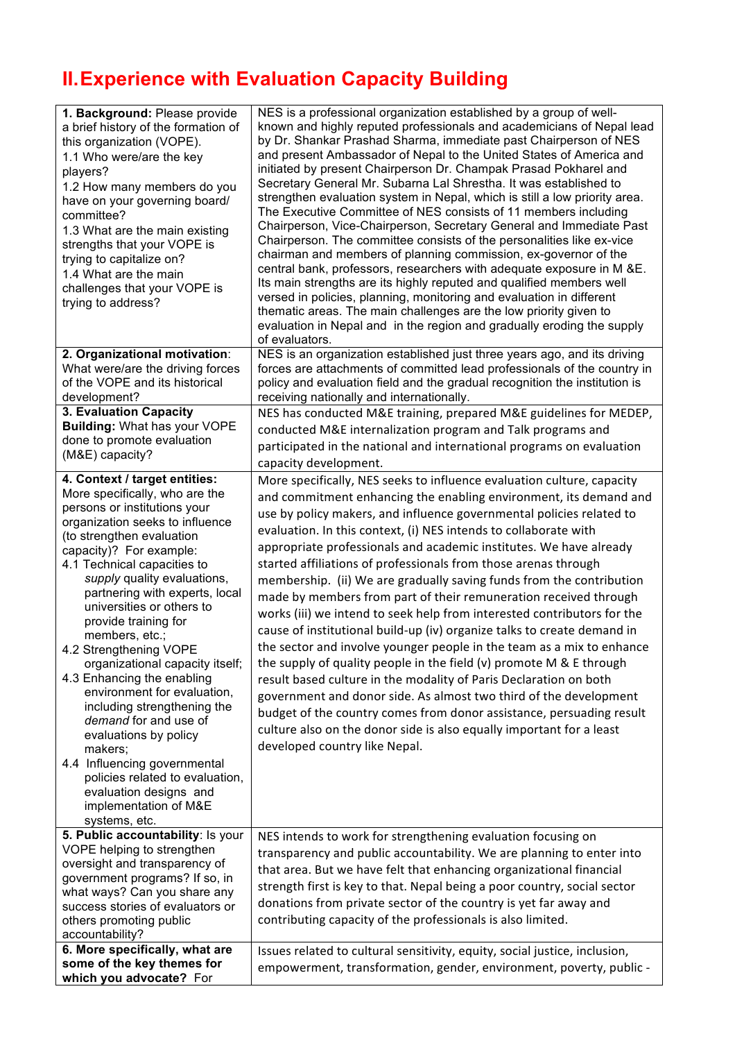## **II.Experience with Evaluation Capacity Building**

| 1. Background: Please provide<br>a brief history of the formation of<br>this organization (VOPE).<br>1.1 Who were/are the key<br>players?<br>1.2 How many members do you<br>have on your governing board/<br>committee?<br>1.3 What are the main existing<br>strengths that your VOPE is<br>trying to capitalize on?<br>1.4 What are the main<br>challenges that your VOPE is<br>trying to address?                                                                                                                                                                                                                                                                                                                            | NES is a professional organization established by a group of well-<br>known and highly reputed professionals and academicians of Nepal lead<br>by Dr. Shankar Prashad Sharma, immediate past Chairperson of NES<br>and present Ambassador of Nepal to the United States of America and<br>initiated by present Chairperson Dr. Champak Prasad Pokharel and<br>Secretary General Mr. Subarna Lal Shrestha. It was established to<br>strengthen evaluation system in Nepal, which is still a low priority area.<br>The Executive Committee of NES consists of 11 members including<br>Chairperson, Vice-Chairperson, Secretary General and Immediate Past<br>Chairperson. The committee consists of the personalities like ex-vice<br>chairman and members of planning commission, ex-governor of the<br>central bank, professors, researchers with adequate exposure in M &E.<br>Its main strengths are its highly reputed and qualified members well<br>versed in policies, planning, monitoring and evaluation in different<br>thematic areas. The main challenges are the low priority given to<br>evaluation in Nepal and in the region and gradually eroding the supply<br>of evaluators.                 |
|--------------------------------------------------------------------------------------------------------------------------------------------------------------------------------------------------------------------------------------------------------------------------------------------------------------------------------------------------------------------------------------------------------------------------------------------------------------------------------------------------------------------------------------------------------------------------------------------------------------------------------------------------------------------------------------------------------------------------------|---------------------------------------------------------------------------------------------------------------------------------------------------------------------------------------------------------------------------------------------------------------------------------------------------------------------------------------------------------------------------------------------------------------------------------------------------------------------------------------------------------------------------------------------------------------------------------------------------------------------------------------------------------------------------------------------------------------------------------------------------------------------------------------------------------------------------------------------------------------------------------------------------------------------------------------------------------------------------------------------------------------------------------------------------------------------------------------------------------------------------------------------------------------------------------------------------------------|
| 2. Organizational motivation:<br>What were/are the driving forces<br>of the VOPE and its historical<br>development?                                                                                                                                                                                                                                                                                                                                                                                                                                                                                                                                                                                                            | NES is an organization established just three years ago, and its driving<br>forces are attachments of committed lead professionals of the country in<br>policy and evaluation field and the gradual recognition the institution is<br>receiving nationally and internationally.                                                                                                                                                                                                                                                                                                                                                                                                                                                                                                                                                                                                                                                                                                                                                                                                                                                                                                                               |
| 3. Evaluation Capacity<br><b>Building: What has your VOPE</b><br>done to promote evaluation<br>(M&E) capacity?                                                                                                                                                                                                                                                                                                                                                                                                                                                                                                                                                                                                                 | NES has conducted M&E training, prepared M&E guidelines for MEDEP,<br>conducted M&E internalization program and Talk programs and<br>participated in the national and international programs on evaluation<br>capacity development.                                                                                                                                                                                                                                                                                                                                                                                                                                                                                                                                                                                                                                                                                                                                                                                                                                                                                                                                                                           |
| 4. Context / target entities:<br>More specifically, who are the<br>persons or institutions your<br>organization seeks to influence<br>(to strengthen evaluation<br>capacity)? For example:<br>4.1 Technical capacities to<br>supply quality evaluations,<br>partnering with experts, local<br>universities or others to<br>provide training for<br>members, etc.;<br>4.2 Strengthening VOPE<br>organizational capacity itself;<br>4.3 Enhancing the enabling<br>environment for evaluation,<br>including strengthening the<br>demand for and use of<br>evaluations by policy<br>makers:<br>4.4 Influencing governmental<br>policies related to evaluation,<br>evaluation designs and<br>implementation of M&E<br>systems, etc. | More specifically, NES seeks to influence evaluation culture, capacity<br>and commitment enhancing the enabling environment, its demand and<br>use by policy makers, and influence governmental policies related to<br>evaluation. In this context, (i) NES intends to collaborate with<br>appropriate professionals and academic institutes. We have already<br>started affiliations of professionals from those arenas through<br>membership. (ii) We are gradually saving funds from the contribution<br>made by members from part of their remuneration received through<br>works (iii) we intend to seek help from interested contributors for the<br>cause of institutional build-up (iv) organize talks to create demand in<br>the sector and involve younger people in the team as a mix to enhance<br>the supply of quality people in the field (v) promote M & E through<br>result based culture in the modality of Paris Declaration on both<br>government and donor side. As almost two third of the development<br>budget of the country comes from donor assistance, persuading result<br>culture also on the donor side is also equally important for a least<br>developed country like Nepal. |
| 5. Public accountability: Is your<br>VOPE helping to strengthen<br>oversight and transparency of<br>government programs? If so, in<br>what ways? Can you share any<br>success stories of evaluators or<br>others promoting public<br>accountability?                                                                                                                                                                                                                                                                                                                                                                                                                                                                           | NES intends to work for strengthening evaluation focusing on<br>transparency and public accountability. We are planning to enter into<br>that area. But we have felt that enhancing organizational financial<br>strength first is key to that. Nepal being a poor country, social sector<br>donations from private sector of the country is yet far away and<br>contributing capacity of the professionals is also limited.                                                                                                                                                                                                                                                                                                                                                                                                                                                                                                                                                                                                                                                                                                                                                                                   |
| 6. More specifically, what are<br>some of the key themes for<br>which you advocate? For                                                                                                                                                                                                                                                                                                                                                                                                                                                                                                                                                                                                                                        | Issues related to cultural sensitivity, equity, social justice, inclusion,<br>empowerment, transformation, gender, environment, poverty, public -                                                                                                                                                                                                                                                                                                                                                                                                                                                                                                                                                                                                                                                                                                                                                                                                                                                                                                                                                                                                                                                             |